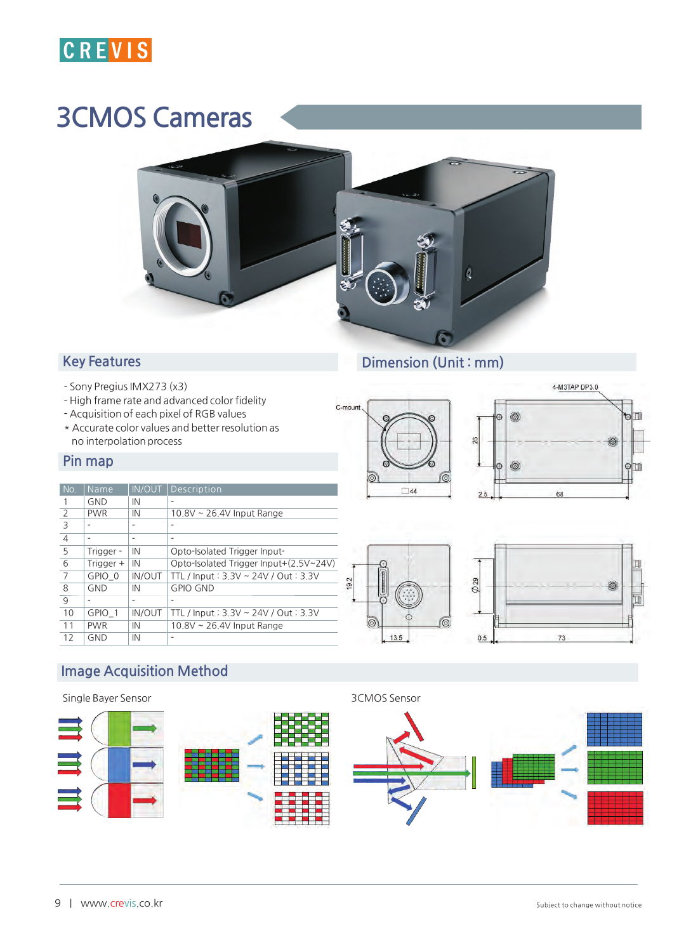

# 3**CMOS Cameras**



### **Key Features**

- **- Sony Pregius IMX273 (x3)**
- **- High frame rate and advanced color fidelity**
- **Acquisition of each pixel of RGB values**
- **\* Accurate color values and better resolution as no interpolation process**

#### **Pin map**

| No.            | Name       | <b>IN/OUT</b> | Description                            |
|----------------|------------|---------------|----------------------------------------|
| 1              | <b>GND</b> | IN            | -                                      |
| 2              | <b>PWR</b> | IN            | 10.8V ~ 26.4V Input Range              |
| 3              |            |               |                                        |
| $\overline{4}$ |            | ۰             | -                                      |
| 5              | Trigger -  | IN            | Opto-Isolated Trigger Input-           |
| 6              | Trigger +  | IN            | Opto-Isolated Trigger Input+(2.5V~24V) |
| 7              | GPIO 0     | <b>IN/OUT</b> | TTL / Input: 3.3V ~ 24V / Out: 3.3V    |
| 8              | <b>GND</b> | IN            | <b>GPIO GND</b>                        |
| 9              |            | ٠             | ٠                                      |
| 10             | GPIO 1     | <b>IN/OUT</b> | TTL / Input: 3.3V ~ 24V / Out: 3.3V    |
| 11             | <b>PWR</b> | IN            | 10.8V ~ 26.4V Input Range              |
| 12             | GND        | IN            |                                        |
|                |            |               |                                        |

## **Dimension (Unit : mm)**









## **Image Acquisition Method**